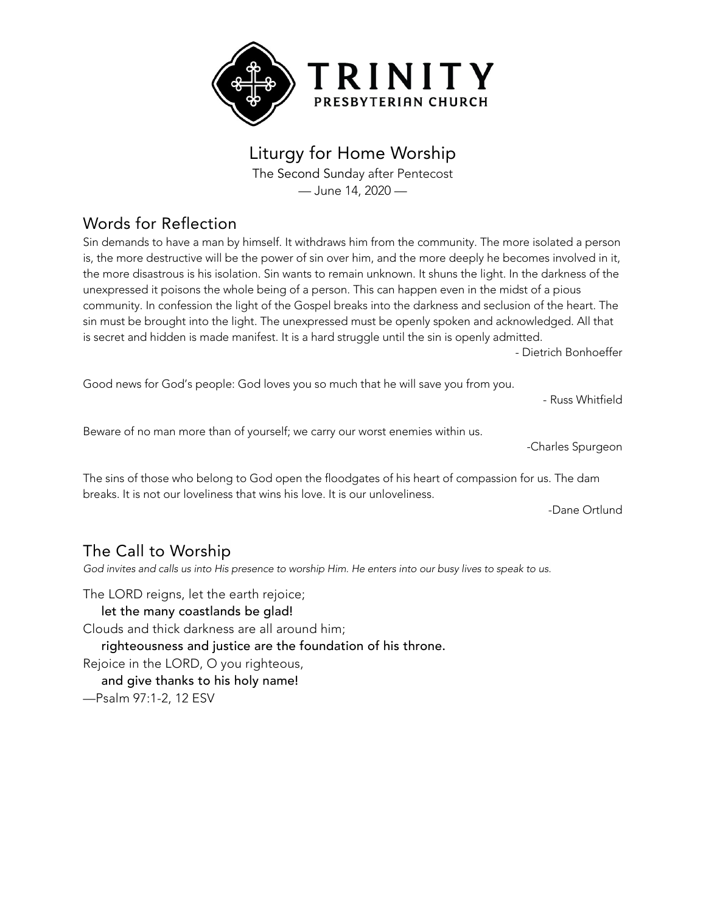

# Liturgy for Home Worship

The Second Sunday after Pentecost — June 14, 2020 —

# Words for Reflection

Sin demands to have a man by himself. It withdraws him from the community. The more isolated a person is, the more destructive will be the power of sin over him, and the more deeply he becomes involved in it, the more disastrous is his isolation. Sin wants to remain unknown. It shuns the light. In the darkness of the unexpressed it poisons the whole being of a person. This can happen even in the midst of a pious community. In confession the light of the Gospel breaks into the darkness and seclusion of the heart. The sin must be brought into the light. The unexpressed must be openly spoken and acknowledged. All that is secret and hidden is made manifest. It is a hard struggle until the sin is openly admitted.

- Dietrich Bonhoeffer

Good news for God's people: God loves you so much that he will save you from you.

- Russ Whitfield

Beware of no man more than of yourself; we carry our worst enemies within us.

-Charles Spurgeon

The sins of those who belong to God open the floodgates of his heart of compassion for us. The dam breaks. It is not our loveliness that wins his love. It is our unloveliness.

-Dane Ortlund

### The Call to Worship

God invites and calls us into His presence to worship Him. He enters into our busy lives to speak to us.

The LORD reigns, let the earth rejoice;

#### let the many coastlands be glad!

Clouds and thick darkness are all around him;

righteousness and justice are the foundation of his throne.

Rejoice in the LORD, O you righteous,

and give thanks to his holy name!

—Psalm 97:1-2, 12 ESV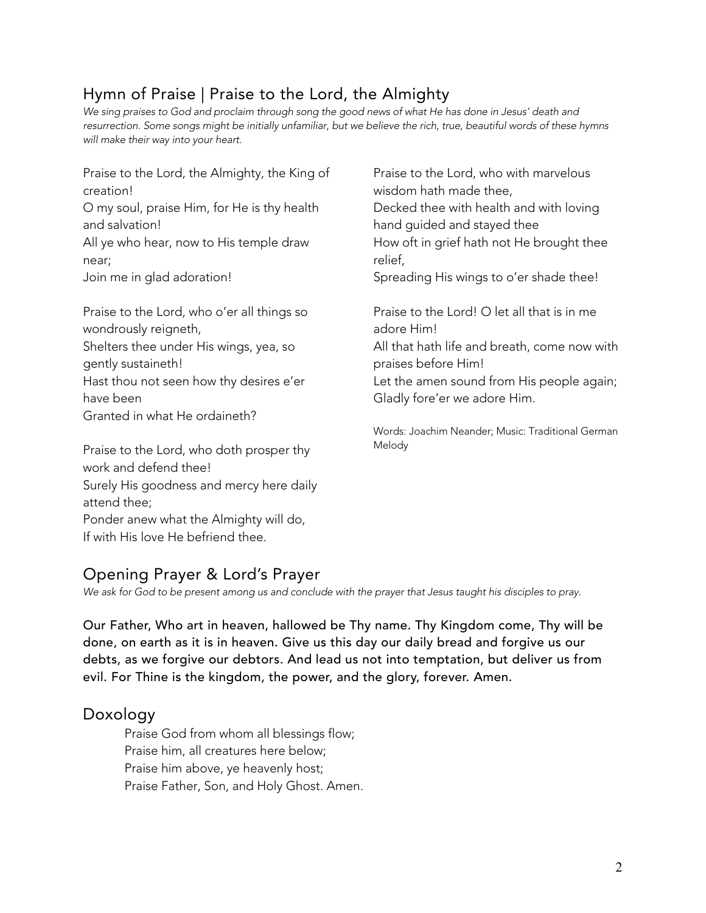# Hymn of Praise | Praise to the Lord, the Almighty

We sing praises to God and proclaim through song the good news of what He has done in Jesus' death and resurrection. Some songs might be initially unfamiliar, but we believe the rich, true, beautiful words of these hymns *will make their way into your heart.*

Praise to the Lord, the Almighty, the King of creation! O my soul, praise Him, for He is thy health and salvation! All ye who hear, now to His temple draw near; Join me in glad adoration!

Praise to the Lord, who o'er all things so wondrously reigneth, Shelters thee under His wings, yea, so gently sustaineth! Hast thou not seen how thy desires e'er have been Granted in what He ordaineth?

Praise to the Lord, who doth prosper thy work and defend thee! Surely His goodness and mercy here daily attend thee; Ponder anew what the Almighty will do, If with His love He befriend thee.

Praise to the Lord, who with marvelous wisdom hath made thee, Decked thee with health and with loving hand guided and stayed thee How oft in grief hath not He brought thee relief, Spreading His wings to o'er shade thee! Praise to the Lord! O let all that is in me adore Him! All that hath life and breath, come now with praises before Him! Let the amen sound from His people again; Gladly fore'er we adore Him.

Words: Joachim Neander; Music: Traditional German Melody

# Opening Prayer & Lord's Prayer

*We ask for God to be present among us and conclude with the prayer that Jesus taught his disciples to pray.*

Our Father, Who art in heaven, hallowed be Thy name. Thy Kingdom come, Thy will be done, on earth as it is in heaven. Give us this day our daily bread and forgive us our debts, as we forgive our debtors. And lead us not into temptation, but deliver us from evil. For Thine is the kingdom, the power, and the glory, forever. Amen.

#### Doxology

Praise God from whom all blessings flow; Praise him, all creatures here below; Praise him above, ye heavenly host; Praise Father, Son, and Holy Ghost. Amen.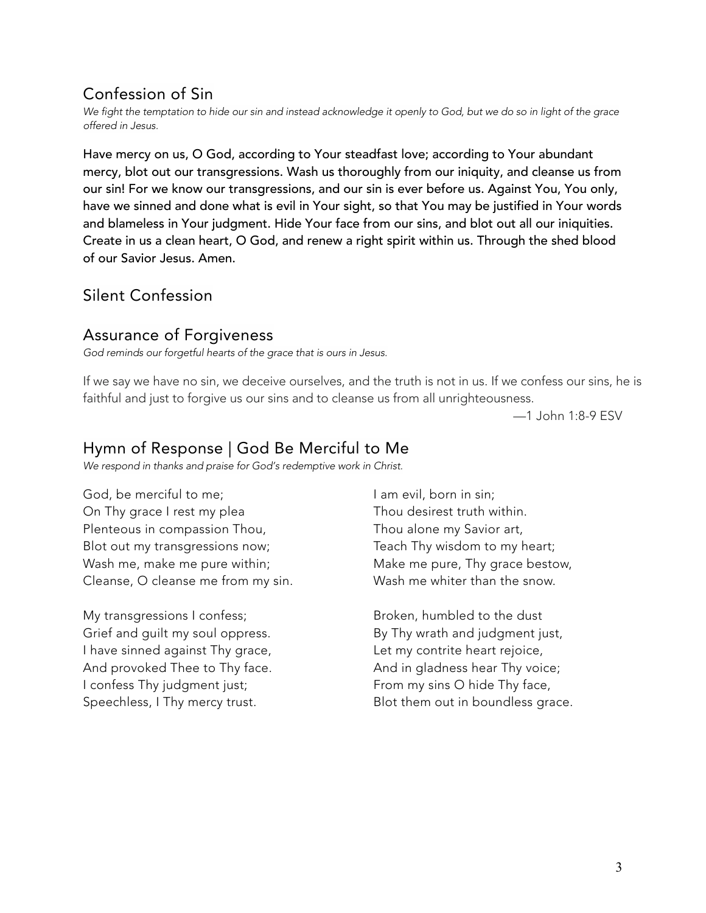# Confession of Sin

We fight the temptation to hide our sin and instead acknowledge it openly to God, but we do so in light of the grace *offered in Jesus.*

Have mercy on us, O God, according to Your steadfast love; according to Your abundant mercy, blot out our transgressions. Wash us thoroughly from our iniquity, and cleanse us from our sin! For we know our transgressions, and our sin is ever before us. Against You, You only, have we sinned and done what is evil in Your sight, so that You may be justified in Your words and blameless in Your judgment. Hide Your face from our sins, and blot out all our iniquities. Create in us a clean heart, O God, and renew a right spirit within us. Through the shed blood of our Savior Jesus. Amen.

### Silent Confession

#### Assurance of Forgiveness

*God reminds our forgetful hearts of the grace that is ours in Jesus.*

If we say we have no sin, we deceive ourselves, and the truth is not in us. If we confess our sins, he is faithful and just to forgive us our sins and to cleanse us from all unrighteousness.

—1 John 1:8-9 ESV

#### Hymn of Response | God Be Merciful to Me

*We respond in thanks and praise for God's redemptive work in Christ.*

God, be merciful to me; On Thy grace I rest my plea Plenteous in compassion Thou, Blot out my transgressions now; Wash me, make me pure within; Cleanse, O cleanse me from my sin.

My transgressions I confess; Grief and guilt my soul oppress. I have sinned against Thy grace, And provoked Thee to Thy face. I confess Thy judgment just; Speechless, I Thy mercy trust.

I am evil, born in sin; Thou desirest truth within. Thou alone my Savior art, Teach Thy wisdom to my heart; Make me pure, Thy grace bestow, Wash me whiter than the snow.

Broken, humbled to the dust By Thy wrath and judgment just, Let my contrite heart rejoice, And in gladness hear Thy voice; From my sins O hide Thy face, Blot them out in boundless grace.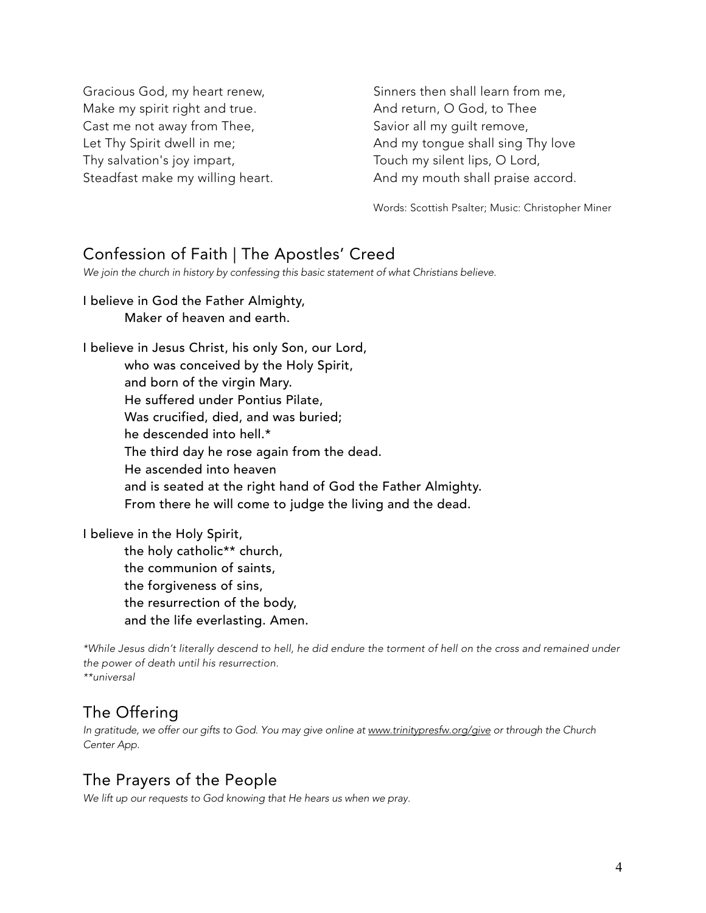Gracious God, my heart renew, Make my spirit right and true. Cast me not away from Thee, Let Thy Spirit dwell in me; Thy salvation's joy impart, Steadfast make my willing heart.

Sinners then shall learn from me, And return, O God, to Thee Savior all my guilt remove, And my tongue shall sing Thy love Touch my silent lips, O Lord, And my mouth shall praise accord.

Words: Scottish Psalter; Music: Christopher Miner

#### Confession of Faith | The Apostles' Creed

*We join the church in history by confessing this basic statement of what Christians believe.*

# I believe in God the Father Almighty,

Maker of heaven and earth.

I believe in Jesus Christ, his only Son, our Lord, who was conceived by the Holy Spirit, and born of the virgin Mary. He suffered under Pontius Pilate, Was crucified, died, and was buried; he descended into hell.\* The third day he rose again from the dead. He ascended into heaven and is seated at the right hand of God the Father Almighty. From there he will come to judge the living and the dead.

I believe in the Holy Spirit,

the holy catholic\*\* church, the communion of saints, the forgiveness of sins, the resurrection of the body, and the life everlasting. Amen.

\*While Jesus didn't literally descend to hell, he did endure the torment of hell on the cross and remained under *the power of death until his resurrection. \*\*universal*

# The Offering

*In gratitude, we offer our gifts to God. You may give online at www.trinitypresfw.org/give or through the Church Center App.*

### The Prayers of the People

*We lift up our requests to God knowing that He hears us when we pray.*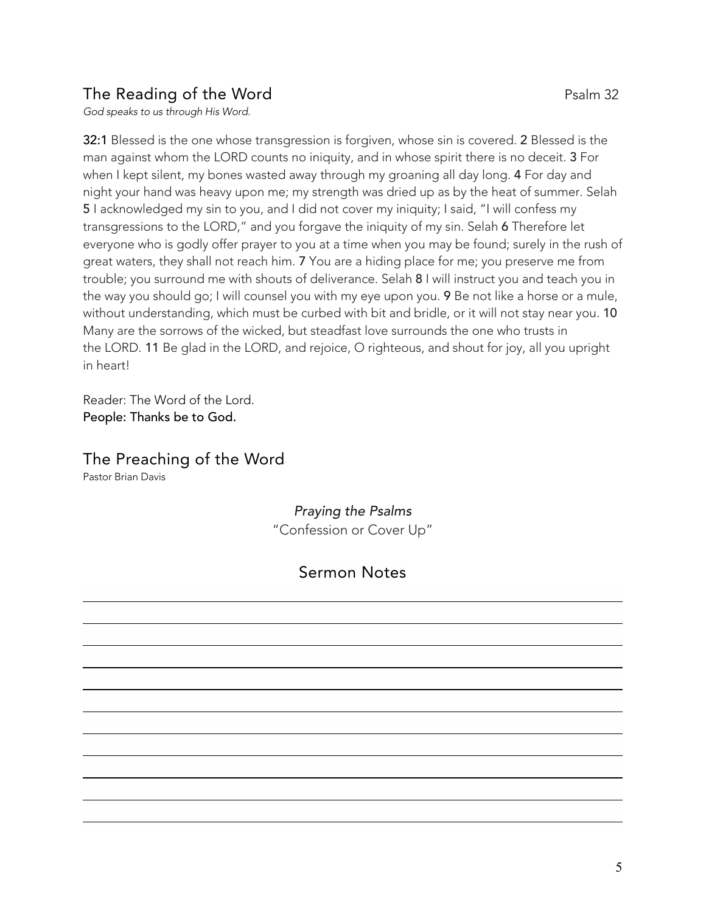# The Reading of the Word **Party 2018** Psalm 32

*God speaks to us through His Word.*

32:1 Blessed is the one whose transgression is forgiven, whose sin is covered. 2 Blessed is the man against whom the LORD counts no iniquity, and in whose spirit there is no deceit. 3 For when I kept silent, my bones wasted away through my groaning all day long. 4 For day and night your hand was heavy upon me; my strength was dried up as by the heat of summer. Selah 5 I acknowledged my sin to you, and I did not cover my iniquity; I said, "I will confess my transgressions to the LORD," and you forgave the iniquity of my sin. Selah 6 Therefore let everyone who is godly offer prayer to you at a time when you may be found; surely in the rush of great waters, they shall not reach him. 7 You are a hiding place for me; you preserve me from trouble; you surround me with shouts of deliverance. Selah 8 I will instruct you and teach you in the way you should go; I will counsel you with my eye upon you. 9 Be not like a horse or a mule, without understanding, which must be curbed with bit and bridle, or it will not stay near you. 10 Many are the sorrows of the wicked, but steadfast love surrounds the one who trusts in the LORD. 11 Be glad in the LORD, and rejoice, O righteous, and shout for joy, all you upright in heart!

Reader: The Word of the Lord. People: Thanks be to God.

### The Preaching of the Word

Pastor Brian Davis

#### *Praying the Psalms* "Confession or Cover Up"

# Sermon Notes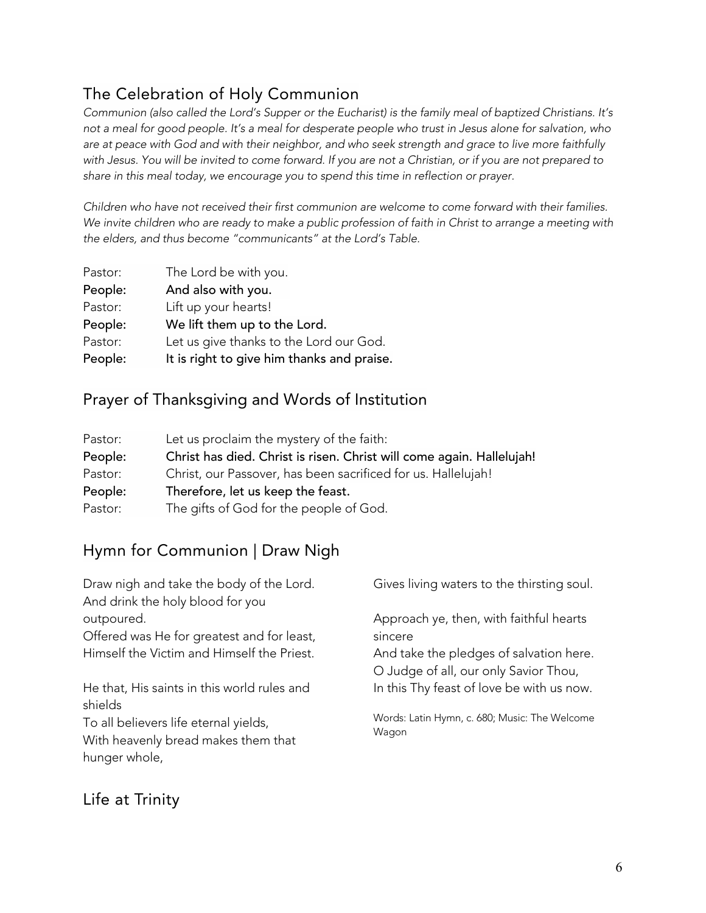# The Celebration of Holy Communion

Communion (also called the Lord's Supper or the Eucharist) is the family meal of baptized Christians. It's not a meal for good people. It's a meal for desperate people who trust in Jesus alone for salvation, who are at peace with God and with their neighbor, and who seek strength and grace to live more faithfully with Jesus. You will be invited to come forward. If you are not a Christian, or if you are not prepared to *share in this meal today, we encourage you to spend this time in reflection or prayer.*

*Children who have not received their first communion are welcome to come forward with their families.* We invite children who are ready to make a public profession of faith in Christ to arrange a meeting with *the elders, and thus become "communicants" at the Lord's Table.*

| Pastor: | The Lord be with you.                      |  |
|---------|--------------------------------------------|--|
| People: | And also with you.                         |  |
| Pastor: | Lift up your hearts!                       |  |
| People: | We lift them up to the Lord.               |  |
| Pastor: | Let us give thanks to the Lord our God.    |  |
| People: | It is right to give him thanks and praise. |  |

### Prayer of Thanksgiving and Words of Institution

| Pastor: | Let us proclaim the mystery of the faith:                             |  |
|---------|-----------------------------------------------------------------------|--|
| People: | Christ has died. Christ is risen. Christ will come again. Hallelujah! |  |
| Pastor: | Christ, our Passover, has been sacrificed for us. Hallelujah!         |  |
| People: | Therefore, let us keep the feast.                                     |  |
| Pastor: | The gifts of God for the people of God.                               |  |
|         |                                                                       |  |

# Hymn for Communion | Draw Nigh

| Draw nigh and take the body of the Lord.<br>And drink the holy blood for you | Gives living waters to the thirsting soul.                                       |
|------------------------------------------------------------------------------|----------------------------------------------------------------------------------|
| outpoured.                                                                   | Approach ye, then, with faithful hearts                                          |
| Offered was He for greatest and for least,                                   | sincere                                                                          |
| Himself the Victim and Himself the Priest.                                   | And take the pledges of salvation here.<br>O Judge of all, our only Savior Thou, |
| He that, His saints in this world rules and<br>shields                       | In this Thy feast of love be with us now.                                        |
| To all believers life eternal yields,<br>With heavenly bread makes them that | Words: Latin Hymn, c. 680; Music: The Welcome<br>Wagon                           |
| hunger whole,                                                                |                                                                                  |

# Life at Trinity